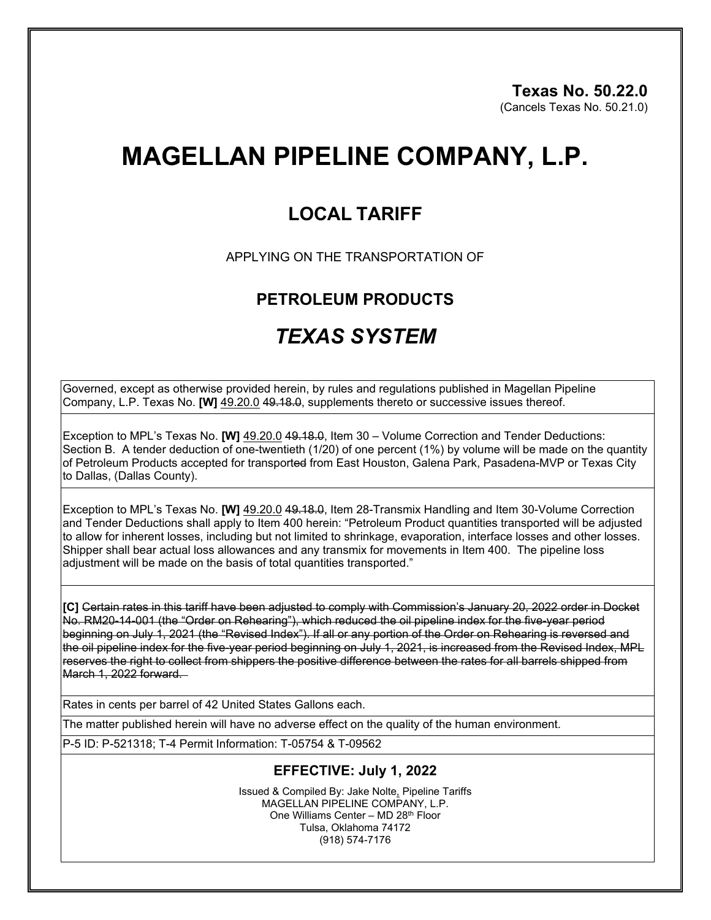# **MAGELLAN PIPELINE COMPANY, L.P.**

### **LOCAL TARIFF**

APPLYING ON THE TRANSPORTATION OF

#### **PETROLEUM PRODUCTS**

## *TEXAS SYSTEM*

Governed, except as otherwise provided herein, by rules and regulations published in Magellan Pipeline Company, L.P. Texas No. **[W]** 49.20.0 49.18.0, supplements thereto or successive issues thereof.

Exception to MPL's Texas No. **[W]** 49.20.0 49.18.0, Item 30 – Volume Correction and Tender Deductions: Section B. A tender deduction of one-twentieth (1/20) of one percent (1%) by volume will be made on the quantity of Petroleum Products accepted for transported from East Houston, Galena Park, Pasadena-MVP or Texas City to Dallas, (Dallas County).

Exception to MPL's Texas No. **[W]** 49.20.0 49.18.0, Item 28-Transmix Handling and Item 30-Volume Correction and Tender Deductions shall apply to Item 400 herein: "Petroleum Product quantities transported will be adjusted to allow for inherent losses, including but not limited to shrinkage, evaporation, interface losses and other losses. Shipper shall bear actual loss allowances and any transmix for movements in Item 400. The pipeline loss adjustment will be made on the basis of total quantities transported."

**[C]** Certain rates in this tariff have been adjusted to comply with Commission's January 20, 2022 order in Docket No. RM20-14-001 (the "Order on Rehearing"), which reduced the oil pipeline index for the five-year period beginning on July 1, 2021 (the "Revised Index"). If all or any portion of the Order on Rehearing is reversed and the oil pipeline index for the five-year period beginning on July 1, 2021, is increased from the Revised Index, MPL reserves the right to collect from shippers the positive difference between the rates for all barrels shipped from  $March 1, 2022$  forward.

Rates in cents per barrel of 42 United States Gallons each.

The matter published herein will have no adverse effect on the quality of the human environment.

P-5 ID: P-521318; T-4 Permit Information: T-05754 & T-09562

#### **EFFECTIVE: July 1, 2022**

Issued & Compiled By: Jake Nolte, Pipeline Tariffs MAGELLAN PIPELINE COMPANY, L.P. One Williams Center – MD 28th Floor Tulsa, Oklahoma 74172 (918) 574-7176